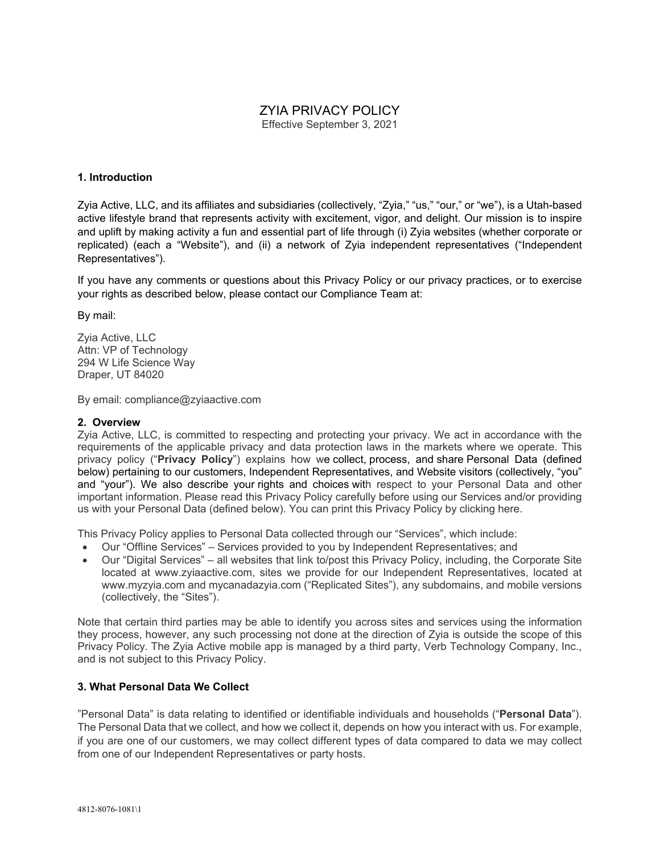# ZYIA PRIVACY POLICY

Effective September 3, 2021

## **1. Introduction**

Zyia Active, LLC, and its affiliates and subsidiaries (collectively, "Zyia," "us," "our," or "we"), is a Utah-based active lifestyle brand that represents activity with excitement, vigor, and delight. Our mission is to inspire and uplift by making activity a fun and essential part of life through (i) Zyia websites (whether corporate or replicated) (each a "Website"), and (ii) a network of Zyia independent representatives ("Independent Representatives").

If you have any comments or questions about this Privacy Policy or our privacy practices, or to exercise your rights as described below, please contact our Compliance Team at:

By mail:

Zyia Active, LLC Attn: VP of Technology 294 W Life Science Way Draper, UT 84020

By email: compliance@zyiaactive.com

### **2. Overview**

Zyia Active, LLC, is committed to respecting and protecting your privacy. We act in accordance with the requirements of the applicable privacy and data protection laws in the markets where we operate. This privacy policy ("**Privacy Policy**") explains how we collect, process, and share Personal Data (defined below) pertaining to our customers, Independent Representatives, and Website visitors (collectively, "you" and "your"). We also describe your rights and choices with respect to your Personal Data and other important information. Please read this Privacy Policy carefully before using our Services and/or providing us with your Personal Data (defined below). You can print this Privacy Policy by clicking here.

This Privacy Policy applies to Personal Data collected through our "Services", which include:

- Our "Offline Services" Services provided to you by Independent Representatives; and
- Our "Digital Services" all websites that link to/post this Privacy Policy, including, the Corporate Site located at www.zyiaactive.com, sites we provide for our Independent Representatives, located at www.myzyia.com and mycanadazyia.com ("Replicated Sites"), any subdomains, and mobile versions (collectively, the "Sites").

Note that certain third parties may be able to identify you across sites and services using the information they process, however, any such processing not done at the direction of Zyia is outside the scope of this Privacy Policy. The Zyia Active mobile app is managed by a third party, Verb Technology Company, Inc., and is not subject to this Privacy Policy.

# **3. What Personal Data We Collect**

"Personal Data" is data relating to identified or identifiable individuals and households ("**Personal Data**"). The Personal Data that we collect, and how we collect it, depends on how you interact with us. For example, if you are one of our customers, we may collect different types of data compared to data we may collect from one of our Independent Representatives or party hosts.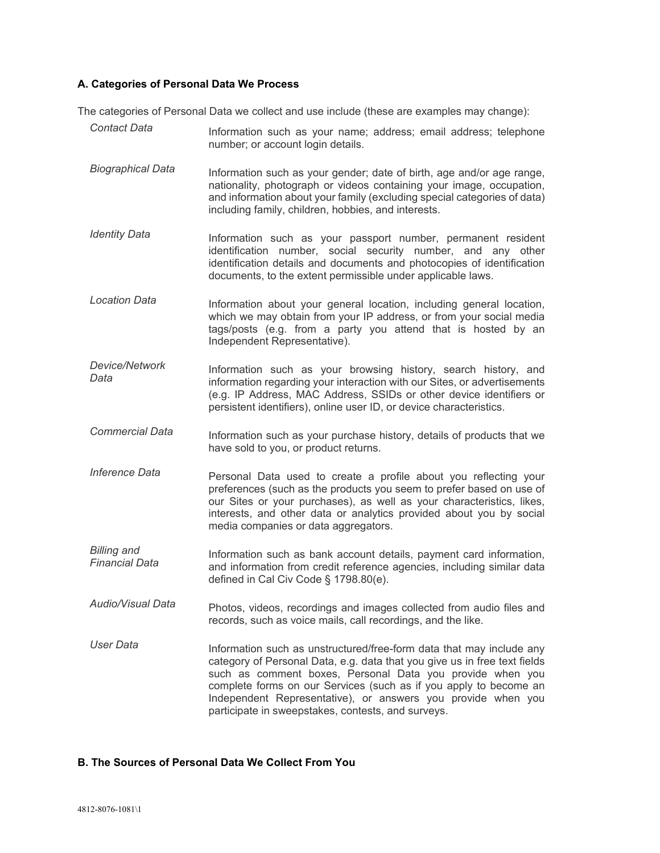### **A. Categories of Personal Data We Process**

The categories of Personal Data we collect and use include (these are examples may change):

**Contact Data** Information such as your name; address; email address; telephone number; or account login details. *Biographical Data* Information such as your gender; date of birth, age and/or age range, nationality, photograph or videos containing your image, occupation, and information about your family (excluding special categories of data) including family, children, hobbies, and interests. *Identity Data* **Information** such as your passport number, permanent resident identification number, social security number, and any other identification details and documents and photocopies of identification documents, to the extent permissible under applicable laws. *Location Data* Information about your general location, including general location, which we may obtain from your IP address, or from your social media tags/posts (e.g. from a party you attend that is hosted by an Independent Representative). *Device/Network Data* Information such as your browsing history, search history, and information regarding your interaction with our Sites, or advertisements (e.g. IP Address, MAC Address, SSIDs or other device identifiers or persistent identifiers), online user ID, or device characteristics. *Commercial Data* Information such as your purchase history, details of products that we have sold to you, or product returns. *Inference Data* **Personal Data used to create a profile about you reflecting your** preferences (such as the products you seem to prefer based on use of our Sites or your purchases), as well as your characteristics, likes, interests, and other data or analytics provided about you by social media companies or data aggregators. *Billing and Financial Data* Information such as bank account details, payment card information, and information from credit reference agencies, including similar data defined in Cal Civ Code § 1798.80(e). *Audio/Visual Data* Photos, videos, recordings and images collected from audio files and records, such as voice mails, call recordings, and the like. User *Data* Information such as unstructured/free-form data that may include any category of Personal Data, e.g. data that you give us in free text fields such as comment boxes, Personal Data you provide when you complete forms on our Services (such as if you apply to become an Independent Representative), or answers you provide when you participate in sweepstakes, contests, and surveys.

#### **B. The Sources of Personal Data We Collect From You**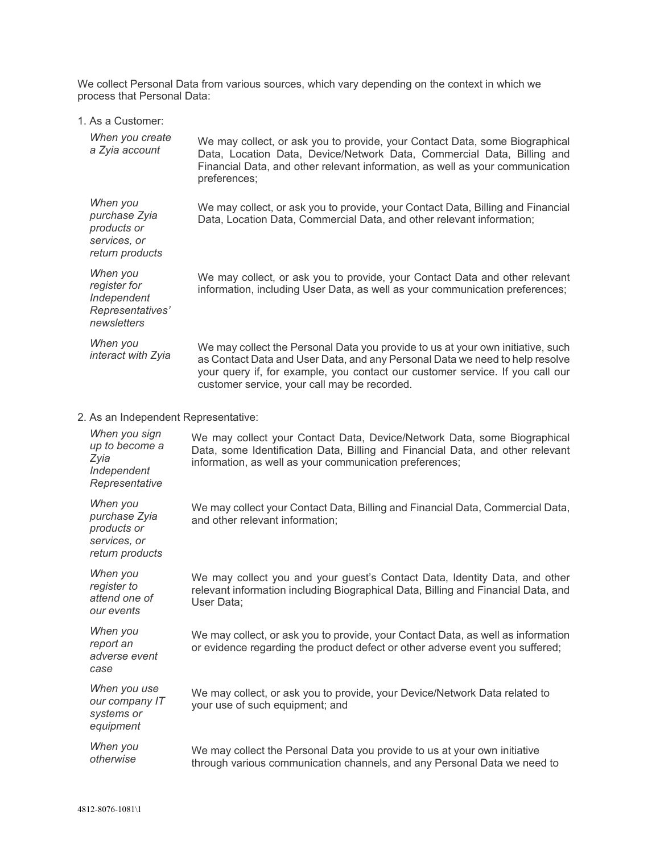We collect Personal Data from various sources, which vary depending on the context in which we process that Personal Data:

|  |  |  | 1. As a Customer: |
|--|--|--|-------------------|
|--|--|--|-------------------|

| When you create<br>a Zyia account                                           | We may collect, or ask you to provide, your Contact Data, some Biographical<br>Data, Location Data, Device/Network Data, Commercial Data, Billing and<br>Financial Data, and other relevant information, as well as your communication<br>preferences;                                           |
|-----------------------------------------------------------------------------|--------------------------------------------------------------------------------------------------------------------------------------------------------------------------------------------------------------------------------------------------------------------------------------------------|
| When you<br>purchase Zyia<br>products or<br>services, or<br>return products | We may collect, or ask you to provide, your Contact Data, Billing and Financial<br>Data, Location Data, Commercial Data, and other relevant information;                                                                                                                                         |
| When you<br>register for<br>Independent<br>Representatives'<br>newsletters  | We may collect, or ask you to provide, your Contact Data and other relevant<br>information, including User Data, as well as your communication preferences;                                                                                                                                      |
| When you<br>interact with Zyia                                              | We may collect the Personal Data you provide to us at your own initiative, such<br>as Contact Data and User Data, and any Personal Data we need to help resolve<br>your query if, for example, you contact our customer service. If you call our<br>customer service, your call may be recorded. |
| 2. As an Independent Representative:                                        |                                                                                                                                                                                                                                                                                                  |
| When you sign<br>up to become a<br>Zyia<br>Independent<br>Representative    | We may collect your Contact Data, Device/Network Data, some Biographical<br>Data, some Identification Data, Billing and Financial Data, and other relevant<br>information, as well as your communication preferences;                                                                            |
| When you<br>purchase Zyia<br>products or<br>services, or<br>return products | We may collect your Contact Data, Billing and Financial Data, Commercial Data,<br>and other relevant information;                                                                                                                                                                                |
| When you<br>register to<br>attend one of<br>our events                      | We may collect you and your guest's Contact Data, Identity Data, and other<br>relevant information including Biographical Data, Billing and Financial Data, and<br>User Data;                                                                                                                    |
| When you<br>report an<br>adverse event<br>case                              | We may collect, or ask you to provide, your Contact Data, as well as information<br>or evidence regarding the product defect or other adverse event you suffered;                                                                                                                                |
| When you use<br>our company IT<br>systems or<br>equipment                   | We may collect, or ask you to provide, your Device/Network Data related to<br>your use of such equipment; and                                                                                                                                                                                    |
| When you<br>otherwise                                                       | We may collect the Personal Data you provide to us at your own initiative<br>through various communication channels, and any Personal Data we need to                                                                                                                                            |
|                                                                             |                                                                                                                                                                                                                                                                                                  |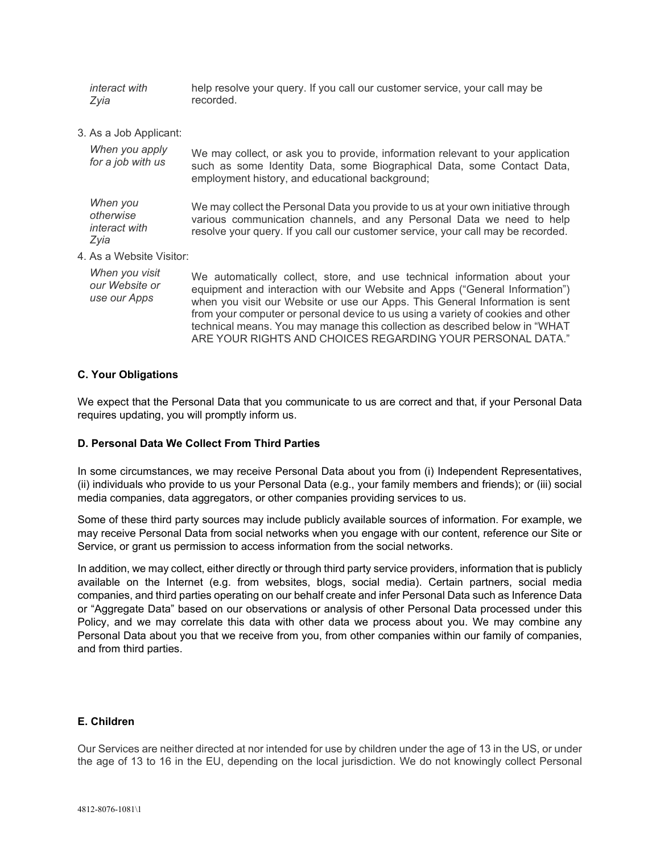*interact with Zyia* help resolve your query. If you call our customer service, your call may be recorded.

3. As a Job Applicant:

| When you apply<br>for a job with us              | We may collect, or ask you to provide, information relevant to your application<br>such as some Identity Data, some Biographical Data, some Contact Data,<br>employment history, and educational background;                                                                                                                                                                                                |
|--------------------------------------------------|-------------------------------------------------------------------------------------------------------------------------------------------------------------------------------------------------------------------------------------------------------------------------------------------------------------------------------------------------------------------------------------------------------------|
| When you<br>otherwise<br>interact with<br>Zyia   | We may collect the Personal Data you provide to us at your own initiative through<br>various communication channels, and any Personal Data we need to help<br>resolve your query. If you call our customer service, your call may be recorded.                                                                                                                                                              |
| 4. As a Website Visitor:                         |                                                                                                                                                                                                                                                                                                                                                                                                             |
| When you visit<br>our Website or<br>use our Apps | We automatically collect, store, and use technical information about your<br>equipment and interaction with our Website and Apps ("General Information")<br>when you visit our Website or use our Apps. This General Information is sent<br>from your computer or personal device to us using a variety of cookies and other<br>technical means. You may manage this collection as described below in "WHAT |

#### **C. Your Obligations**

We expect that the Personal Data that you communicate to us are correct and that, if your Personal Data requires updating, you will promptly inform us.

ARE YOUR RIGHTS AND CHOICES REGARDING YOUR PERSONAL DATA."

## **D. Personal Data We Collect From Third Parties**

In some circumstances, we may receive Personal Data about you from (i) Independent Representatives, (ii) individuals who provide to us your Personal Data (e.g., your family members and friends); or (iii) social media companies, data aggregators, or other companies providing services to us.

Some of these third party sources may include publicly available sources of information. For example, we may receive Personal Data from social networks when you engage with our content, reference our Site or Service, or grant us permission to access information from the social networks.

In addition, we may collect, either directly or through third party service providers, information that is publicly available on the Internet (e.g. from websites, blogs, social media). Certain partners, social media companies, and third parties operating on our behalf create and infer Personal Data such as Inference Data or "Aggregate Data" based on our observations or analysis of other Personal Data processed under this Policy, and we may correlate this data with other data we process about you. We may combine any Personal Data about you that we receive from you, from other companies within our family of companies, and from third parties.

#### **E. Children**

Our Services are neither directed at nor intended for use by children under the age of 13 in the US, or under the age of 13 to 16 in the EU, depending on the local jurisdiction. We do not knowingly collect Personal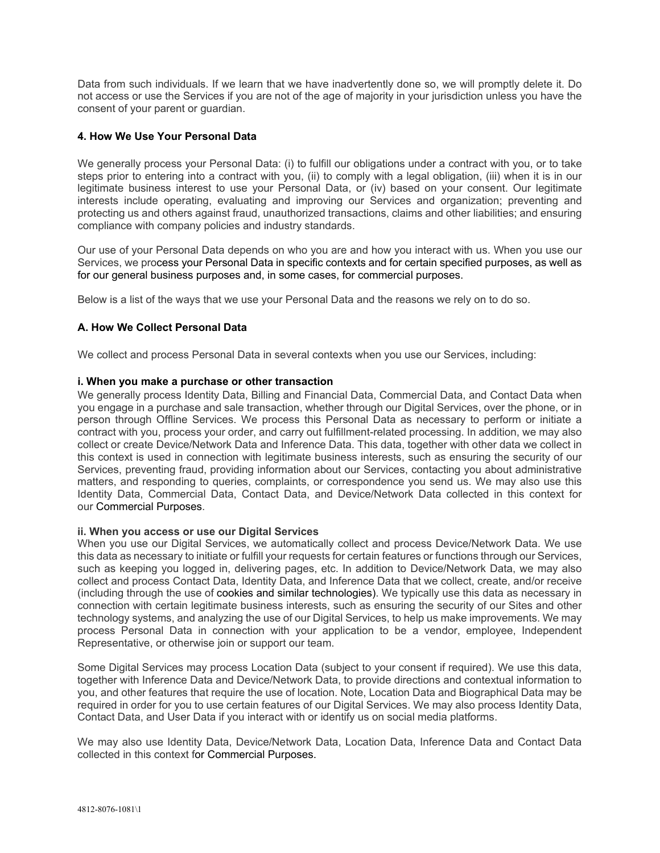Data from such individuals. If we learn that we have inadvertently done so, we will promptly delete it. Do not access or use the Services if you are not of the age of majority in your jurisdiction unless you have the consent of your parent or guardian.

## **4. How We Use Your Personal Data**

We generally process your Personal Data: (i) to fulfill our obligations under a contract with you, or to take steps prior to entering into a contract with you, (ii) to comply with a legal obligation, (iii) when it is in our legitimate business interest to use your Personal Data, or (iv) based on your consent. Our legitimate interests include operating, evaluating and improving our Services and organization; preventing and protecting us and others against fraud, unauthorized transactions, claims and other liabilities; and ensuring compliance with company policies and industry standards.

Our use of your Personal Data depends on who you are and how you interact with us. When you use our Services, we process your Personal Data in specific contexts and for certain specified purposes, as well as for our general business purposes and, in some cases, for commercial purposes.

Below is a list of the ways that we use your Personal Data and the reasons we rely on to do so.

## **A. How We Collect Personal Data**

We collect and process Personal Data in several contexts when you use our Services, including:

#### **i. When you make a purchase or other transaction**

We generally process Identity Data, Billing and Financial Data, Commercial Data, and Contact Data when you engage in a purchase and sale transaction, whether through our Digital Services, over the phone, or in person through Offline Services. We process this Personal Data as necessary to perform or initiate a contract with you, process your order, and carry out fulfillment-related processing. In addition, we may also collect or create Device/Network Data and Inference Data. This data, together with other data we collect in this context is used in connection with legitimate business interests, such as ensuring the security of our Services, preventing fraud, providing information about our Services, contacting you about administrative matters, and responding to queries, complaints, or correspondence you send us. We may also use this Identity Data, Commercial Data, Contact Data, and Device/Network Data collected in this context for our Commercial Purposes.

#### **ii. When you access or use our Digital Services**

When you use our Digital Services, we automatically collect and process Device/Network Data. We use this data as necessary to initiate or fulfill your requests for certain features or functions through our Services, such as keeping you logged in, delivering pages, etc. In addition to Device/Network Data, we may also collect and process Contact Data, Identity Data, and Inference Data that we collect, create, and/or receive (including through the use of cookies and similar technologies). We typically use this data as necessary in connection with certain legitimate business interests, such as ensuring the security of our Sites and other technology systems, and analyzing the use of our Digital Services, to help us make improvements. We may process Personal Data in connection with your application to be a vendor, employee, Independent Representative, or otherwise join or support our team.

Some Digital Services may process Location Data (subject to your consent if required). We use this data, together with Inference Data and Device/Network Data, to provide directions and contextual information to you, and other features that require the use of location. Note, Location Data and Biographical Data may be required in order for you to use certain features of our Digital Services. We may also process Identity Data, Contact Data, and User Data if you interact with or identify us on social media platforms.

We may also use Identity Data, Device/Network Data, Location Data, Inference Data and Contact Data collected in this context for Commercial Purposes.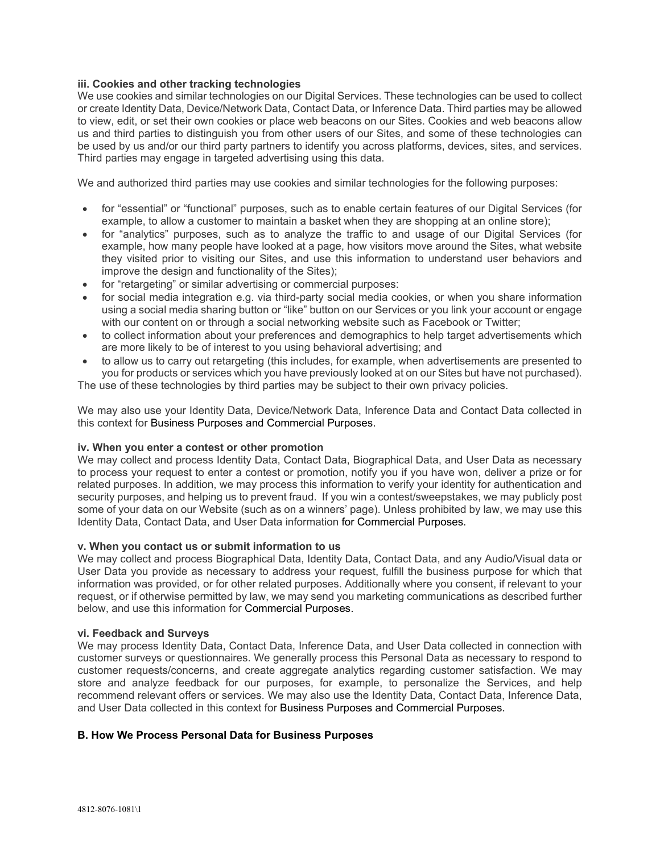#### **iii. Cookies and other tracking technologies**

We use cookies and similar technologies on our Digital Services. These technologies can be used to collect or create Identity Data, Device/Network Data, Contact Data, or Inference Data. Third parties may be allowed to view, edit, or set their own cookies or place web beacons on our Sites. Cookies and web beacons allow us and third parties to distinguish you from other users of our Sites, and some of these technologies can be used by us and/or our third party partners to identify you across platforms, devices, sites, and services. Third parties may engage in targeted advertising using this data.

We and authorized third parties may use cookies and similar technologies for the following purposes:

- for "essential" or "functional" purposes, such as to enable certain features of our Digital Services (for example, to allow a customer to maintain a basket when they are shopping at an online store);
- for "analytics" purposes, such as to analyze the traffic to and usage of our Digital Services (for example, how many people have looked at a page, how visitors move around the Sites, what website they visited prior to visiting our Sites, and use this information to understand user behaviors and improve the design and functionality of the Sites);
- for "retargeting" or similar advertising or commercial purposes:
- for social media integration e.g. via third-party social media cookies, or when you share information using a social media sharing button or "like" button on our Services or you link your account or engage with our content on or through a social networking website such as Facebook or Twitter;
- to collect information about your preferences and demographics to help target advertisements which are more likely to be of interest to you using behavioral advertising; and
- to allow us to carry out retargeting (this includes, for example, when advertisements are presented to you for products or services which you have previously looked at on our Sites but have not purchased). The use of these technologies by third parties may be subject to their own privacy policies.

We may also use your Identity Data, Device/Network Data, Inference Data and Contact Data collected in this context for Business Purposes and Commercial Purposes.

#### **iv. When you enter a contest or other promotion**

We may collect and process Identity Data, Contact Data, Biographical Data, and User Data as necessary to process your request to enter a contest or promotion, notify you if you have won, deliver a prize or for related purposes. In addition, we may process this information to verify your identity for authentication and security purposes, and helping us to prevent fraud. If you win a contest/sweepstakes, we may publicly post some of your data on our Website (such as on a winners' page). Unless prohibited by law, we may use this Identity Data, Contact Data, and User Data information for Commercial Purposes.

#### **v. When you contact us or submit information to us**

We may collect and process Biographical Data, Identity Data, Contact Data, and any Audio/Visual data or User Data you provide as necessary to address your request, fulfill the business purpose for which that information was provided, or for other related purposes. Additionally where you consent, if relevant to your request, or if otherwise permitted by law, we may send you marketing communications as described further below, and use this information for [Commercial](https://www.broadmoor.com/privacy-policy/#_How_we_Process_2) Purposes.

#### **vi. Feedback and Surveys**

We may process Identity Data, Contact Data, Inference Data, and User Data collected in connection with customer surveys or questionnaires. We generally process this Personal Data as necessary to respond to customer requests/concerns, and create aggregate analytics regarding customer satisfaction. We may store and analyze feedback for our purposes, for example, to personalize the Services, and help recommend relevant offers or services. We may also use the Identity Data, Contact Data, Inference Data, and User Data collected in this context for Business [Purposes](https://www.broadmoor.com/privacy-policy/#_How_we_Process_1) and [Commercial](https://www.broadmoor.com/privacy-policy/#_How_we_Process_2) Purposes.

#### **B. How We Process Personal Data for Business Purposes**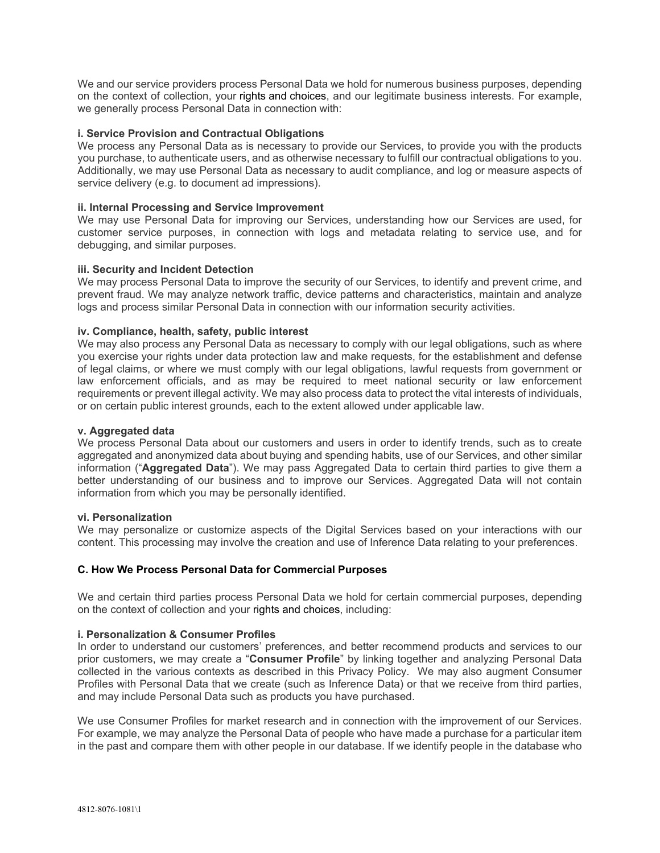We and our service providers process Personal Data we hold for numerous business purposes, depending on the context of collection, your [rights](https://www.broadmoor.com/privacy-policy/#_Your_Rights) and [choices,](https://www.broadmoor.com/privacy-policy/#_Your_Choices) and our legitimate business interests. For example, we generally process Personal Data in connection with:

#### **i. Service Provision and Contractual Obligations**

We process any Personal Data as is necessary to provide our Services, to provide you with the products you purchase, to authenticate users, and as otherwise necessary to fulfill our contractual obligations to you. Additionally, we may use Personal Data as necessary to audit compliance, and log or measure aspects of service delivery (e.g. to document ad impressions).

#### **ii. Internal Processing and Service Improvement**

We may use Personal Data for improving our Services, understanding how our Services are used, for customer service purposes, in connection with logs and metadata relating to service use, and for debugging, and similar purposes.

#### **iii. Security and Incident Detection**

We may process Personal Data to improve the security of our Services, to identify and prevent crime, and prevent fraud. We may analyze network traffic, device patterns and characteristics, maintain and analyze logs and process similar Personal Data in connection with our information security activities.

#### **iv. Compliance, health, safety, public interest**

We may also process any Personal Data as necessary to comply with our legal obligations, such as where you exercise your rights under data protection law and make requests, for the establishment and defense of legal claims, or where we must comply with our legal obligations, lawful requests from government or law enforcement officials, and as may be required to meet national security or law enforcement requirements or prevent illegal activity. We may also process data to protect the vital interests of individuals, or on certain public interest grounds, each to the extent allowed under applicable law.

#### **v. Aggregated data**

We process Personal Data about our customers and users in order to identify trends, such as to create aggregated and anonymized data about buying and spending habits, use of our Services, and other similar information ("**Aggregated Data**"). We may pass Aggregated Data to certain third parties to give them a better understanding of our business and to improve our Services. Aggregated Data will not contain information from which you may be personally identified.

#### **vi. Personalization**

We may personalize or customize aspects of the Digital Services based on your interactions with our content. This processing may involve the creation and use of Inference Data relating to your preferences.

#### **C. How We Process Personal Data for Commercial Purposes**

We and certain third parties process Personal Data we hold for certain commercial purposes, depending on the context of collection and your rights and choices, including:

#### **i. Personalization & Consumer Profiles**

In order to understand our customers' preferences, and better recommend products and services to our prior customers, we may create a "**Consumer Profile**" by linking together and analyzing Personal Data collected in the various contexts as described in this Privacy Policy. We may also augment Consumer Profiles with Personal Data that we create (such as Inference Data) or that we receive from third parties, and may include Personal Data such as products you have purchased.

We use Consumer Profiles for market research and in connection with the improvement of our Services. For example, we may analyze the Personal Data of people who have made a purchase for a particular item in the past and compare them with other people in our database. If we identify people in the database who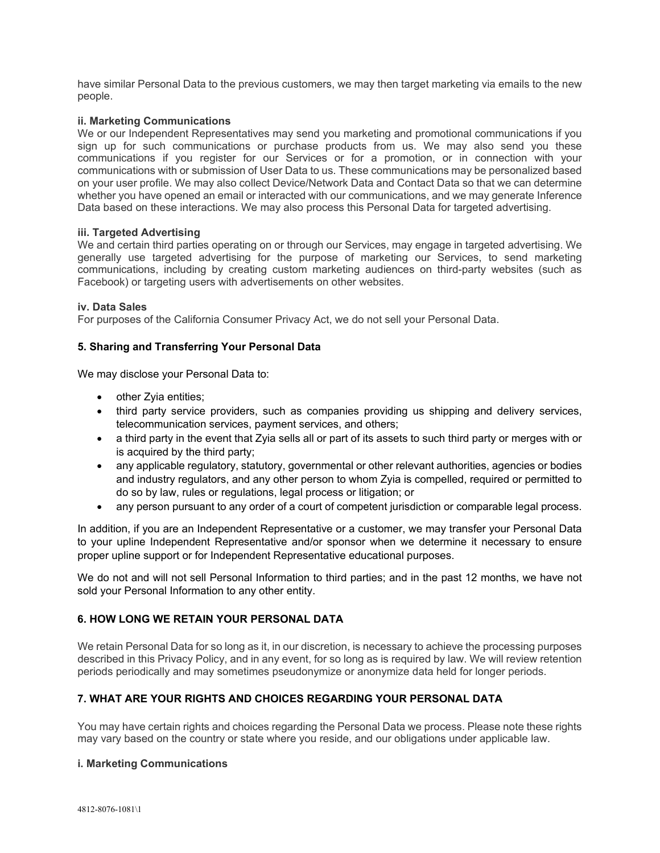have similar Personal Data to the previous customers, we may then target marketing via emails to the new people.

### **ii. Marketing Communications**

We or our Independent Representatives may send you marketing and promotional communications if you sign up for such communications or purchase products from us. We may also send you these communications if you register for our Services or for a promotion, or in connection with your communications with or submission of User Data to us. These communications may be personalized based on your user profile. We may also collect Device/Network Data and Contact Data so that we can determine whether you have opened an email or interacted with our communications, and we may generate Inference Data based on these interactions. We may also process this Personal Data for targeted advertising.

#### **iii. Targeted Advertising**

We and certain third parties operating on or through our Services, may engage in targeted advertising. We generally use targeted advertising for the purpose of marketing our Services, to send marketing communications, including by creating custom marketing audiences on third-party websites (such as Facebook) or targeting users with advertisements on other websites.

#### **iv. Data Sales**

For purposes of the California Consumer Privacy Act, we do not sell your Personal Data.

## **5. Sharing and Transferring Your Personal Data**

We may disclose your Personal Data to:

- other Zyia entities;
- third party service providers, such as companies providing us shipping and delivery services, telecommunication services, payment services, and others;
- a third party in the event that Zyia sells all or part of its assets to such third party or merges with or is acquired by the third party;
- any applicable regulatory, statutory, governmental or other relevant authorities, agencies or bodies and industry regulators, and any other person to whom Zyia is compelled, required or permitted to do so by law, rules or regulations, legal process or litigation; or
- any person pursuant to any order of a court of competent jurisdiction or comparable legal process.

In addition, if you are an Independent Representative or a customer, we may transfer your Personal Data to your upline Independent Representative and/or sponsor when we determine it necessary to ensure proper upline support or for Independent Representative educational purposes.

We do not and will not sell Personal Information to third parties; and in the past 12 months, we have not sold your Personal Information to any other entity.

# **6. HOW LONG WE RETAIN YOUR PERSONAL DATA**

We retain Personal Data for so long as it, in our discretion, is necessary to achieve the processing purposes described in this Privacy Policy, and in any event, for so long as is required by law. We will review retention periods periodically and may sometimes pseudonymize or anonymize data held for longer periods.

# **7. WHAT ARE YOUR RIGHTS AND CHOICES REGARDING YOUR PERSONAL DATA**

You may have certain rights and choices regarding the Personal Data we process. Please note these rights may vary based on the country or state where you reside, and our obligations under applicable law.

#### **i. Marketing Communications**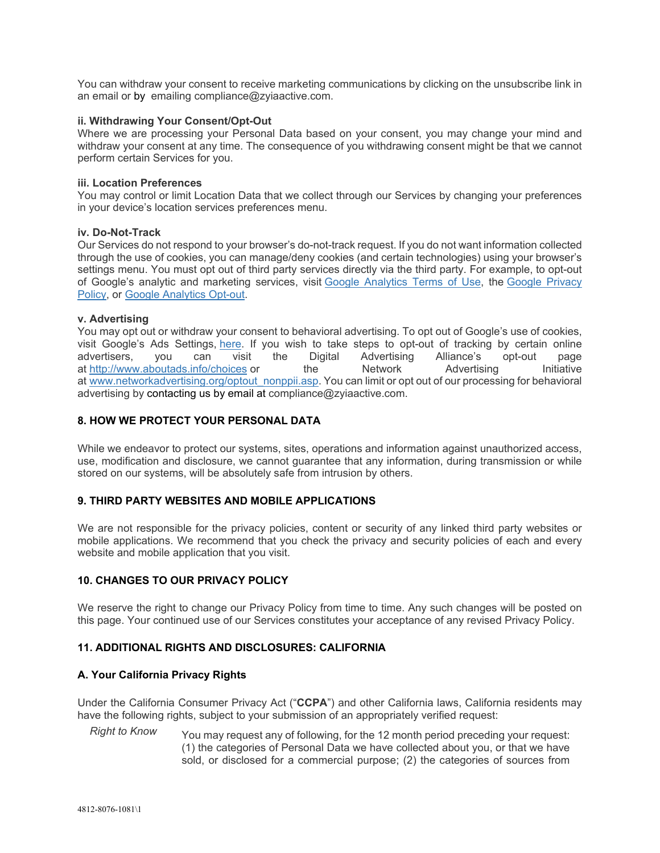You can withdraw your consent to receive marketing communications by clicking on the unsubscribe link in an email or by emailing compliance@zyiaactive.com.

#### **ii. Withdrawing Your Consent/Opt-Out**

Where we are processing your Personal Data based on your consent, you may change your mind and withdraw your consent at any time. The consequence of you withdrawing consent might be that we cannot perform certain Services for you.

#### **iii. Location Preferences**

You may control or limit Location Data that we collect through our Services by changing your preferences in your device's location services preferences menu.

#### **iv. Do-Not-Track**

Our Services do not respond to your browser's do-not-track request. If you do not want information collected through the use of cookies, you can manage/deny cookies (and certain technologies) using your browser's settings menu. You must opt out of third party services directly via the third party. For example, to opt-out of Google's analytic and marketing services, visit Google [Analytics](http://www.google.com/analytics/tos.html) Terms of Use, the Google [Privacy](http://www.google.com/privacypolicy.html) [Policy,](http://www.google.com/privacypolicy.html) or Google [Analytics](https://tools.google.com/dlpage/gaoptout?hl=en-GB) Opt-out.

#### **v. Advertising**

You may opt out or withdraw your consent to behavioral advertising. To opt out of Google's use of cookies, visit Google's Ads Settings, [here.](https://adssettings.google.com/) If you wish to take steps to opt-out of tracking by certain online advertisers, vou can visit the Digital Advertising Alliance's opt-out page advertisers, you can visit the Digital Advertising Alliance's opt-out page at <http://www.aboutads.info/choices> or the Network Advertising Initiative at [www.networkadvertising.org/optout\\_nonppii.asp.](http://www.networkadvertising.org/optout_nonppii.asp) You can limit or opt out of our processing for behavioral advertising by contacting us by email at compliance@zyiaactive.com.

## **8. HOW WE PROTECT YOUR PERSONAL DATA**

While we endeavor to protect our systems, sites, operations and information against unauthorized access, use, modification and disclosure, we cannot guarantee that any information, during transmission or while stored on our systems, will be absolutely safe from intrusion by others.

## **9. THIRD PARTY WEBSITES AND MOBILE APPLICATIONS**

We are not responsible for the privacy policies, content or security of any linked third party websites or mobile applications. We recommend that you check the privacy and security policies of each and every website and mobile application that you visit.

## **10. CHANGES TO OUR PRIVACY POLICY**

We reserve the right to change our Privacy Policy from time to time. Any such changes will be posted on this page. Your continued use of our Services constitutes your acceptance of any revised Privacy Policy.

#### **11. ADDITIONAL RIGHTS AND DISCLOSURES: CALIFORNIA**

#### **A. Your California Privacy Rights**

Under the California Consumer Privacy Act ("**CCPA**") and other California laws, California residents may have the following rights, subject to your submission of an appropriately verified request:

*Right to Know* You may request any of following, for the 12 month period preceding your request: (1) the categories of Personal Data we have collected about you, or that we have sold, or disclosed for a commercial purpose; (2) the categories of sources from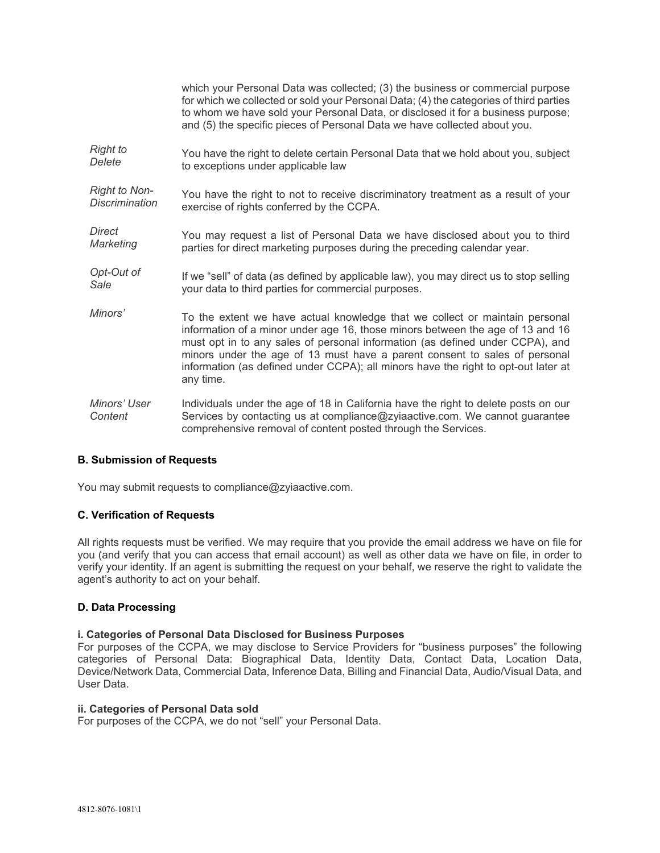|                         | which your Personal Data was collected; (3) the business or commercial purpose<br>for which we collected or sold your Personal Data; (4) the categories of third parties<br>to whom we have sold your Personal Data, or disclosed it for a business purpose;<br>and (5) the specific pieces of Personal Data we have collected about you.                                                                                       |
|-------------------------|---------------------------------------------------------------------------------------------------------------------------------------------------------------------------------------------------------------------------------------------------------------------------------------------------------------------------------------------------------------------------------------------------------------------------------|
| <b>Right to</b>         | You have the right to delete certain Personal Data that we hold about you, subject                                                                                                                                                                                                                                                                                                                                              |
| Delete                  | to exceptions under applicable law                                                                                                                                                                                                                                                                                                                                                                                              |
| <b>Right to Non-</b>    | You have the right to not to receive discriminatory treatment as a result of your                                                                                                                                                                                                                                                                                                                                               |
| Discrimination          | exercise of rights conferred by the CCPA.                                                                                                                                                                                                                                                                                                                                                                                       |
| Direct                  | You may request a list of Personal Data we have disclosed about you to third                                                                                                                                                                                                                                                                                                                                                    |
| Marketing               | parties for direct marketing purposes during the preceding calendar year.                                                                                                                                                                                                                                                                                                                                                       |
| Opt-Out of              | If we "sell" of data (as defined by applicable law), you may direct us to stop selling                                                                                                                                                                                                                                                                                                                                          |
| Sale                    | your data to third parties for commercial purposes.                                                                                                                                                                                                                                                                                                                                                                             |
| Minors'                 | To the extent we have actual knowledge that we collect or maintain personal<br>information of a minor under age 16, those minors between the age of 13 and 16<br>must opt in to any sales of personal information (as defined under CCPA), and<br>minors under the age of 13 must have a parent consent to sales of personal<br>information (as defined under CCPA); all minors have the right to opt-out later at<br>any time. |
| Minors' User<br>Content | Individuals under the age of 18 in California have the right to delete posts on our<br>Services by contacting us at compliance@zyiaactive.com. We cannot guarantee<br>comprehensive removal of content posted through the Services.                                                                                                                                                                                             |

# **B. Submission of Requests**

You may submit requests to compliance@zyiaactive.com.

## **C. Verification of Requests**

All rights requests must be verified. We may require that you provide the email address we have on file for you (and verify that you can access that email account) as well as other data we have on file, in order to verify your identity. If an agent is submitting the request on your behalf, we reserve the right to validate the agent's authority to act on your behalf.

#### **D. Data Processing**

#### **i. Categories of Personal Data Disclosed for Business Purposes**

For purposes of the CCPA, we may disclose to Service Providers for "business purposes" the following categories of Personal Data: Biographical Data, Identity Data, Contact Data, Location Data, Device/Network Data, Commercial Data, Inference Data, Billing and Financial Data, Audio/Visual Data, and User Data.

#### **ii. Categories of Personal Data sold**

For purposes of the CCPA, we do not "sell" your Personal Data.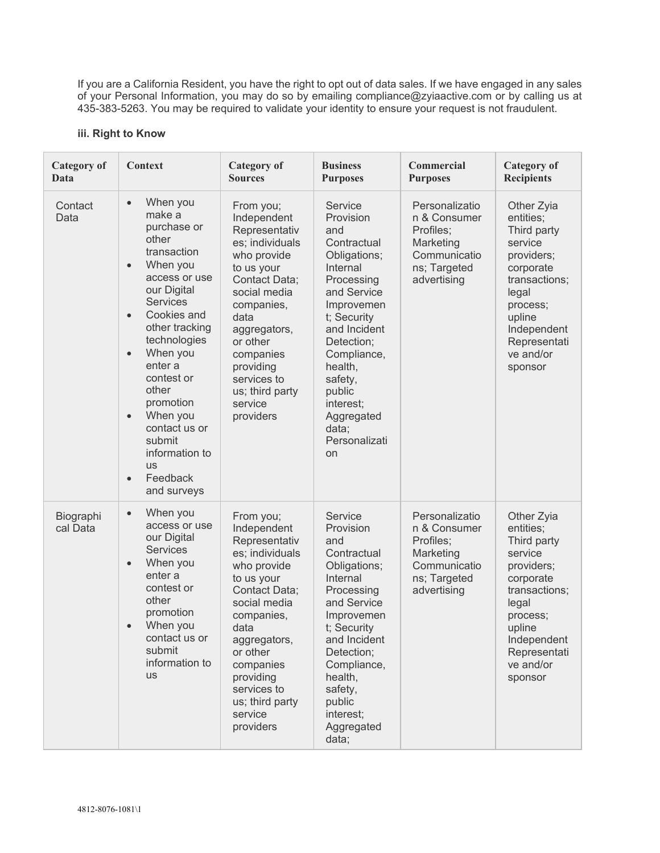If you are a California Resident, you have the right to opt out of data sales. If we have engaged in any sales of your Personal Information, you may do so by emailing compliance@zyiaactive.com or by calling us at 435-383-5263. You may be required to validate your identity to ensure your request is not fraudulent.

## **iii. Right to Know**

| <b>Category of</b><br><b>Context</b><br>Data |                                                                                                                                                                                                                                                                                                                                                                                                                     | <b>Category</b> of<br><b>Sources</b>                                                                                                                                                                                                                             | <b>Business</b><br><b>Purposes</b>                                                                                                                                                                                                                                       | <b>Commercial</b><br><b>Purposes</b>                                                                    | <b>Category of</b><br><b>Recipients</b>                                                                                                                                             |
|----------------------------------------------|---------------------------------------------------------------------------------------------------------------------------------------------------------------------------------------------------------------------------------------------------------------------------------------------------------------------------------------------------------------------------------------------------------------------|------------------------------------------------------------------------------------------------------------------------------------------------------------------------------------------------------------------------------------------------------------------|--------------------------------------------------------------------------------------------------------------------------------------------------------------------------------------------------------------------------------------------------------------------------|---------------------------------------------------------------------------------------------------------|-------------------------------------------------------------------------------------------------------------------------------------------------------------------------------------|
| Contact<br>Data                              | When you<br>$\bullet$<br>make a<br>purchase or<br>other<br>transaction<br>When you<br>$\bullet$<br>access or use<br>our Digital<br><b>Services</b><br>Cookies and<br>$\bullet$<br>other tracking<br>technologies<br>When you<br>$\bullet$<br>enter a<br>contest or<br>other<br>promotion<br>When you<br>$\bullet$<br>contact us or<br>submit<br>information to<br><b>US</b><br>Feedback<br>$\bullet$<br>and surveys | From you;<br>Independent<br>Representativ<br>es; individuals<br>who provide<br>to us your<br>Contact Data;<br>social media<br>companies,<br>data<br>aggregators,<br>or other<br>companies<br>providing<br>services to<br>us; third party<br>service<br>providers | Service<br>Provision<br>and<br>Contractual<br>Obligations;<br>Internal<br>Processing<br>and Service<br>Improvemen<br>t; Security<br>and Incident<br>Detection;<br>Compliance,<br>health,<br>safety,<br>public<br>interest;<br>Aggregated<br>data;<br>Personalizati<br>on | Personalizatio<br>n & Consumer<br>Profiles:<br>Marketing<br>Communicatio<br>ns; Targeted<br>advertising | Other Zyia<br>entities;<br>Third party<br>service<br>providers;<br>corporate<br>transactions;<br>legal<br>process;<br>upline<br>Independent<br>Representati<br>ve and/or<br>sponsor |
| Biographi<br>cal Data                        | When you<br>$\bullet$<br>access or use<br>our Digital<br><b>Services</b><br>When you<br>$\bullet$<br>enter a<br>contest or<br>other<br>promotion<br>When you<br>$\bullet$<br>contact us or<br>submit<br>information to<br><b>us</b>                                                                                                                                                                                 | From you;<br>Independent<br>Representativ<br>es; individuals<br>who provide<br>to us your<br>Contact Data;<br>social media<br>companies,<br>data<br>aggregators,<br>or other<br>companies<br>providing<br>services to<br>us; third party<br>service<br>providers | Service<br>Provision<br>and<br>Contractual<br>Obligations;<br>Internal<br>Processing<br>and Service<br>Improvemen<br>t; Security<br>and Incident<br>Detection;<br>Compliance,<br>health,<br>safety,<br>public<br>interest;<br>Aggregated<br>data;                        | Personalizatio<br>n & Consumer<br>Profiles;<br>Marketing<br>Communicatio<br>ns; Targeted<br>advertising | Other Zyia<br>entities;<br>Third party<br>service<br>providers;<br>corporate<br>transactions;<br>legal<br>process;<br>upline<br>Independent<br>Representati<br>ve and/or<br>sponsor |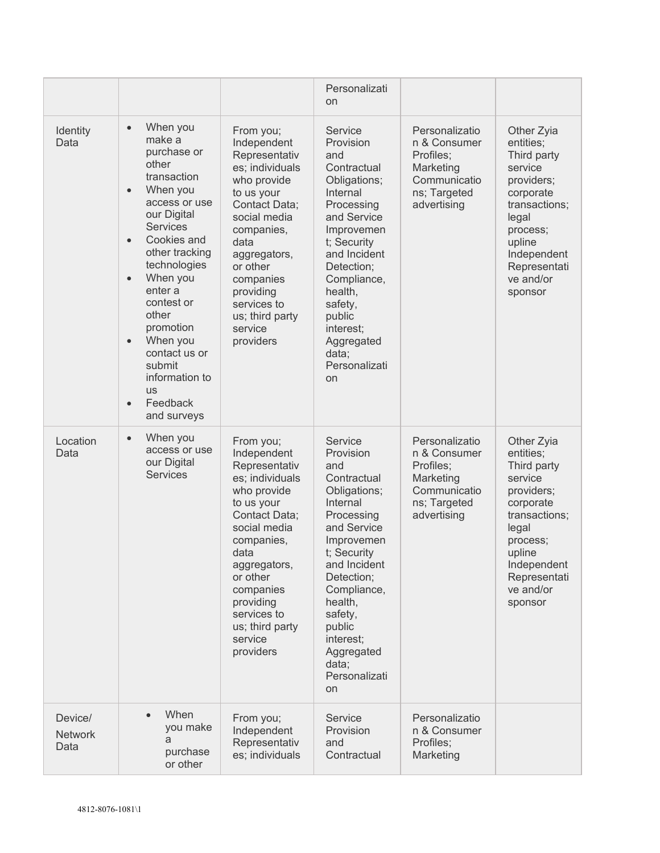|                                   |                                                                                                                                                                                                                                                                                                                                                                                                                     |                                                                                                                                                                                                                                                                  | Personalizati<br>on                                                                                                                                                                                                                                                      |                                                                                                         |                                                                                                                                                                                     |
|-----------------------------------|---------------------------------------------------------------------------------------------------------------------------------------------------------------------------------------------------------------------------------------------------------------------------------------------------------------------------------------------------------------------------------------------------------------------|------------------------------------------------------------------------------------------------------------------------------------------------------------------------------------------------------------------------------------------------------------------|--------------------------------------------------------------------------------------------------------------------------------------------------------------------------------------------------------------------------------------------------------------------------|---------------------------------------------------------------------------------------------------------|-------------------------------------------------------------------------------------------------------------------------------------------------------------------------------------|
| Identity<br>Data                  | When you<br>$\bullet$<br>make a<br>purchase or<br>other<br>transaction<br>When you<br>$\bullet$<br>access or use<br>our Digital<br><b>Services</b><br>Cookies and<br>$\bullet$<br>other tracking<br>technologies<br>When you<br>$\bullet$<br>enter a<br>contest or<br>other<br>promotion<br>When you<br>$\bullet$<br>contact us or<br>submit<br>information to<br><b>US</b><br>Feedback<br>$\bullet$<br>and surveys | From you;<br>Independent<br>Representativ<br>es; individuals<br>who provide<br>to us your<br>Contact Data;<br>social media<br>companies,<br>data<br>aggregators,<br>or other<br>companies<br>providing<br>services to<br>us; third party<br>service<br>providers | Service<br>Provision<br>and<br>Contractual<br>Obligations;<br>Internal<br>Processing<br>and Service<br>Improvemen<br>t; Security<br>and Incident<br>Detection;<br>Compliance,<br>health,<br>safety,<br>public<br>interest;<br>Aggregated<br>data:<br>Personalizati<br>on | Personalizatio<br>n & Consumer<br>Profiles;<br>Marketing<br>Communicatio<br>ns; Targeted<br>advertising | Other Zyia<br>entities;<br>Third party<br>service<br>providers;<br>corporate<br>transactions;<br>legal<br>process;<br>upline<br>Independent<br>Representati<br>ve and/or<br>sponsor |
| Location<br>Data                  | When you<br>$\bullet$<br>access or use<br>our Digital<br><b>Services</b>                                                                                                                                                                                                                                                                                                                                            | From you;<br>Independent<br>Representativ<br>es; individuals<br>who provide<br>to us your<br>Contact Data;<br>social media<br>companies,<br>data<br>aggregators,<br>or other<br>companies<br>providing<br>services to<br>us; third party<br>service<br>providers | Service<br>Provision<br>and<br>Contractual<br>Obligations;<br>Internal<br>Processing<br>and Service<br>Improvemen<br>t; Security<br>and Incident<br>Detection;<br>Compliance,<br>health,<br>safety,<br>public<br>interest;<br>Aggregated<br>data;<br>Personalizati<br>on | Personalizatio<br>n & Consumer<br>Profiles;<br>Marketing<br>Communicatio<br>ns; Targeted<br>advertising | Other Zyia<br>entities;<br>Third party<br>service<br>providers;<br>corporate<br>transactions;<br>legal<br>process;<br>upline<br>Independent<br>Representati<br>ve and/or<br>sponsor |
| Device/<br><b>Network</b><br>Data | When<br>you make<br>a<br>purchase<br>or other                                                                                                                                                                                                                                                                                                                                                                       | From you;<br>Independent<br>Representativ<br>es; individuals                                                                                                                                                                                                     | Service<br>Provision<br>and<br>Contractual                                                                                                                                                                                                                               | Personalizatio<br>n & Consumer<br>Profiles;<br>Marketing                                                |                                                                                                                                                                                     |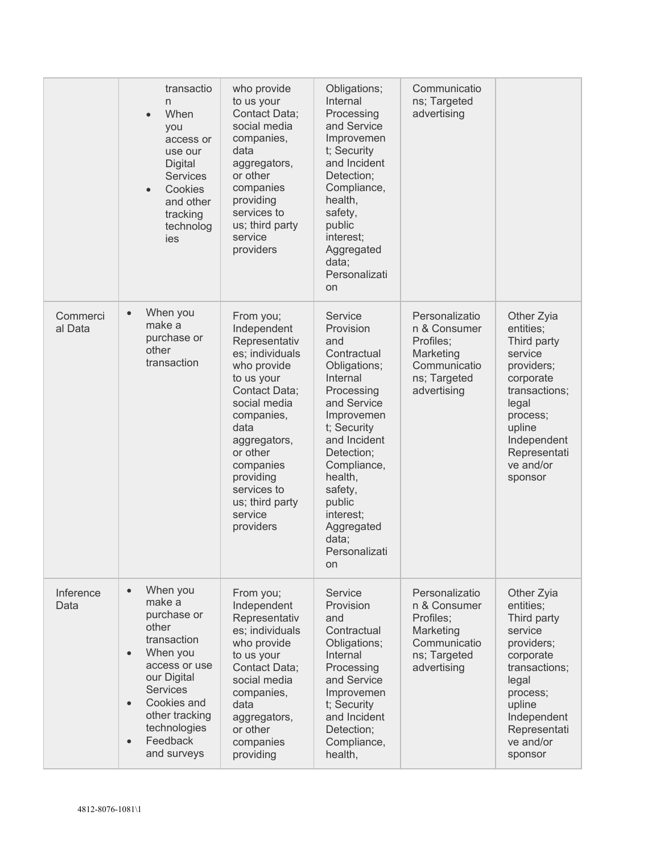|                     | transactio<br>n<br>When<br>$\bullet$<br>you<br>access or<br>use our<br><b>Digital</b><br><b>Services</b><br>Cookies<br>$\bullet$<br>and other<br>tracking<br>technolog<br>ies                                                                            | who provide<br>to us your<br>Contact Data;<br>social media<br>companies,<br>data<br>aggregators,<br>or other<br>companies<br>providing<br>services to<br>us; third party<br>service<br>providers                                                                 | Obligations;<br>Internal<br>Processing<br>and Service<br>Improvemen<br>t; Security<br>and Incident<br>Detection;<br>Compliance,<br>health,<br>safety,<br>public<br>interest;<br>Aggregated<br>data;<br>Personalizati<br>on                                               | Communicatio<br>ns; Targeted<br>advertising                                                             |                                                                                                                                                                                     |
|---------------------|----------------------------------------------------------------------------------------------------------------------------------------------------------------------------------------------------------------------------------------------------------|------------------------------------------------------------------------------------------------------------------------------------------------------------------------------------------------------------------------------------------------------------------|--------------------------------------------------------------------------------------------------------------------------------------------------------------------------------------------------------------------------------------------------------------------------|---------------------------------------------------------------------------------------------------------|-------------------------------------------------------------------------------------------------------------------------------------------------------------------------------------|
| Commerci<br>al Data | When you<br>$\bullet$<br>make a<br>purchase or<br>other<br>transaction                                                                                                                                                                                   | From you;<br>Independent<br>Representativ<br>es; individuals<br>who provide<br>to us your<br>Contact Data;<br>social media<br>companies,<br>data<br>aggregators,<br>or other<br>companies<br>providing<br>services to<br>us; third party<br>service<br>providers | Service<br>Provision<br>and<br>Contractual<br>Obligations;<br>Internal<br>Processing<br>and Service<br>Improvemen<br>t; Security<br>and Incident<br>Detection;<br>Compliance,<br>health,<br>safety,<br>public<br>interest;<br>Aggregated<br>data;<br>Personalizati<br>on | Personalizatio<br>n & Consumer<br>Profiles;<br>Marketing<br>Communicatio<br>ns; Targeted<br>advertising | Other Zyia<br>entities;<br>Third party<br>service<br>providers;<br>corporate<br>transactions;<br>legal<br>process;<br>upline<br>Independent<br>Representati<br>ve and/or<br>sponsor |
| Inference<br>Data   | When you<br>$\bullet$<br>make a<br>purchase or<br>other<br>transaction<br>When you<br>$\bullet$<br>access or use<br>our Digital<br><b>Services</b><br>Cookies and<br>$\bullet$<br>other tracking<br>technologies<br>Feedback<br>$\bullet$<br>and surveys | From you;<br>Independent<br>Representativ<br>es; individuals<br>who provide<br>to us your<br>Contact Data;<br>social media<br>companies,<br>data<br>aggregators,<br>or other<br>companies<br>providing                                                           | Service<br>Provision<br>and<br>Contractual<br>Obligations;<br>Internal<br>Processing<br>and Service<br>Improvemen<br>t; Security<br>and Incident<br>Detection;<br>Compliance,<br>health,                                                                                 | Personalizatio<br>n & Consumer<br>Profiles;<br>Marketing<br>Communicatio<br>ns; Targeted<br>advertising | Other Zyia<br>entities;<br>Third party<br>service<br>providers;<br>corporate<br>transactions;<br>legal<br>process;<br>upline<br>Independent<br>Representati<br>ve and/or<br>sponsor |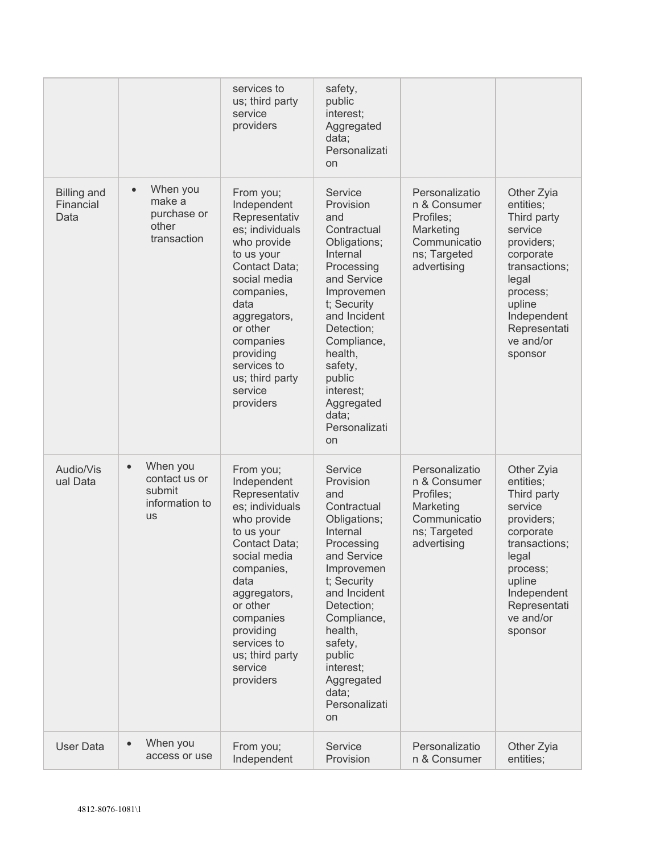|                                         |                                                                                 | services to<br>us; third party<br>service<br>providers                                                                                                                                                                                                           | safety,<br>public<br>interest;<br>Aggregated<br>data;<br>Personalizati<br>on                                                                                                                                                                                             |                                                                                                         |                                                                                                                                                                                     |
|-----------------------------------------|---------------------------------------------------------------------------------|------------------------------------------------------------------------------------------------------------------------------------------------------------------------------------------------------------------------------------------------------------------|--------------------------------------------------------------------------------------------------------------------------------------------------------------------------------------------------------------------------------------------------------------------------|---------------------------------------------------------------------------------------------------------|-------------------------------------------------------------------------------------------------------------------------------------------------------------------------------------|
| <b>Billing and</b><br>Financial<br>Data | When you<br>$\bullet$<br>make a<br>purchase or<br>other<br>transaction          | From you;<br>Independent<br>Representativ<br>es; individuals<br>who provide<br>to us your<br>Contact Data;<br>social media<br>companies,<br>data<br>aggregators,<br>or other<br>companies<br>providing<br>services to<br>us; third party<br>service<br>providers | Service<br>Provision<br>and<br>Contractual<br>Obligations;<br>Internal<br>Processing<br>and Service<br>Improvemen<br>t; Security<br>and Incident<br>Detection;<br>Compliance,<br>health,<br>safety,<br>public<br>interest;<br>Aggregated<br>data;<br>Personalizati<br>on | Personalizatio<br>n & Consumer<br>Profiles;<br>Marketing<br>Communicatio<br>ns; Targeted<br>advertising | Other Zyia<br>entities;<br>Third party<br>service<br>providers;<br>corporate<br>transactions;<br>legal<br>process;<br>upline<br>Independent<br>Representati<br>ve and/or<br>sponsor |
| Audio/Vis<br>ual Data                   | When you<br>$\bullet$<br>contact us or<br>submit<br>information to<br><b>US</b> | From you;<br>Independent<br>Representativ<br>es; individuals<br>who provide<br>to us your<br>Contact Data;<br>social media<br>companies,<br>data<br>aggregators,<br>or other<br>companies<br>providing<br>services to<br>us; third party<br>service<br>providers | Service<br>Provision<br>and<br>Contractual<br>Obligations;<br>Internal<br>Processing<br>and Service<br>Improvemen<br>t; Security<br>and Incident<br>Detection;<br>Compliance,<br>health,<br>safety,<br>public<br>interest;<br>Aggregated<br>data;<br>Personalizati<br>on | Personalizatio<br>n & Consumer<br>Profiles;<br>Marketing<br>Communicatio<br>ns; Targeted<br>advertising | Other Zyia<br>entities;<br>Third party<br>service<br>providers;<br>corporate<br>transactions;<br>legal<br>process;<br>upline<br>Independent<br>Representati<br>ve and/or<br>sponsor |
| User Data                               | When you<br>access or use                                                       | From you;<br>Independent                                                                                                                                                                                                                                         | Service<br>Provision                                                                                                                                                                                                                                                     | Personalizatio<br>n & Consumer                                                                          | Other Zyia<br>entities;                                                                                                                                                             |